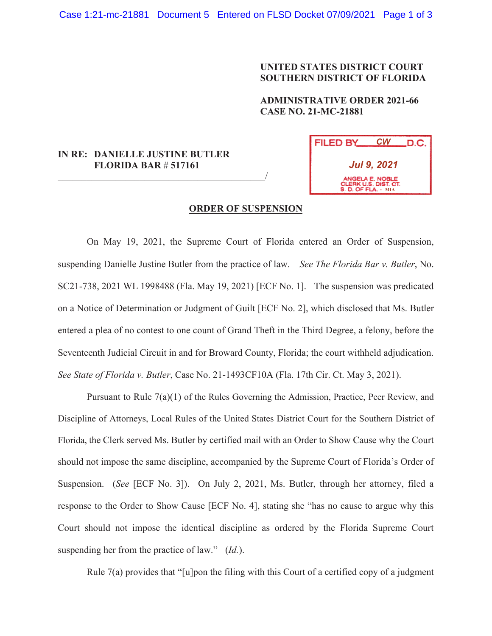## **UNITED STATES DISTRICT COURT SOUTHERN DISTRICT OF FLORIDA**

**ADMINISTRATIVE ORDER 2021-66 CASE NO. 21-MC-21881**

## **IN RE: DANIELLE JUSTINE BUTLER FLORIDA BAR** # **517161**

 $\overline{\phantom{a}}$ 



## **ORDER OF SUSPENSION**

On May 19, 2021, the Supreme Court of Florida entered an Order of Suspension, suspending Danielle Justine Butler from the practice of law. *See The Florida Bar v. Butler*, No. SC21-738, 2021 WL 1998488 (Fla. May 19, 2021) [ECF No. 1]. The suspension was predicated on a Notice of Determination or Judgment of Guilt [ECF No. 2], which disclosed that Ms. Butler entered a plea of no contest to one count of Grand Theft in the Third Degree, a felony, before the Seventeenth Judicial Circuit in and for Broward County, Florida; the court withheld adjudication. *See State of Florida v. Butler*, Case No. 21-1493CF10A (Fla. 17th Cir. Ct. May 3, 2021).

Pursuant to Rule 7(a)(1) of the Rules Governing the Admission, Practice, Peer Review, and Discipline of Attorneys, Local Rules of the United States District Court for the Southern District of Florida, the Clerk served Ms. Butler by certified mail with an Order to Show Cause why the Court should not impose the same discipline, accompanied by the Supreme Court of Florida's Order of Suspension. (*See* [ECF No. 3]). On July 2, 2021, Ms. Butler, through her attorney, filed a response to the Order to Show Cause [ECF No. 4], stating she "has no cause to argue why this Court should not impose the identical discipline as ordered by the Florida Supreme Court suspending her from the practice of law." (*Id.*).

Rule  $7(a)$  provides that "[u]pon the filing with this Court of a certified copy of a judgment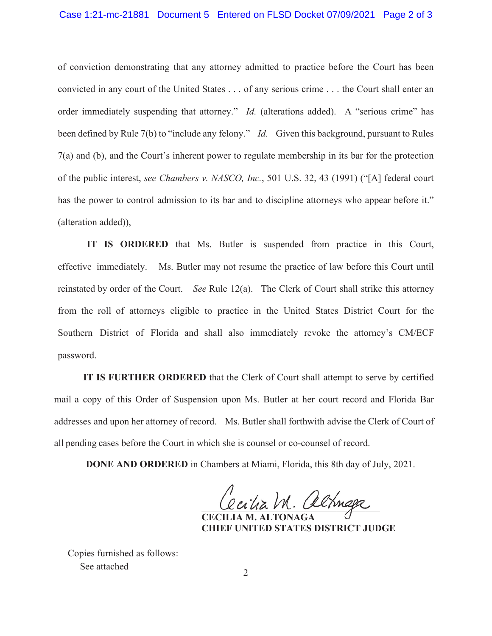of conviction demonstrating that any attorney admitted to practice before the Court has been convicted in any court of the United States . . . of any serious crime . . . the Court shall enter an order immediately suspending that attorney." *Id.* (alterations added). A "serious crime" has been defined by Rule 7(b) to "include any felony." *Id.* Given this background, pursuant to Rules 7(a) and (b), and the Court's inherent power to regulate membership in its bar for the protection of the public interest, *see Chambers v. NASCO, Inc.*, 501 U.S. 32, 43 (1991) ("[A] federal court has the power to control admission to its bar and to discipline attorneys who appear before it." (alteration added)),

IT IS ORDERED that Ms. Butler is suspended from practice in this Court, effective immediately. Ms. Butler may not resume the practice of law before this Court until reinstated by order of the Court. *See* Rule 12(a). The Clerk of Court shall strike this attorney from the roll of attorneys eligible to practice in the United States District Court for the Southern District of Florida and shall also immediately revoke the attorney's CM/ECF password.

**IT IS FURTHER ORDERED** that the Clerk of Court shall attempt to serve by certified mail a copy of this Order of Suspension upon Ms. Butler at her court record and Florida Bar addresses and upon her attorney of record. Ms. Butler shall forthwith advise the Clerk of Court of all pending cases before the Court in which she is counsel or co-counsel of record.

**DONE AND ORDERED** in Chambers at Miami, Florida, this 8th day of July, 2021.

acilia M. alchnaga

**CECILIA M. ALTONAGA CHIEF UNITED STATES DISTRICT JUDGE**

Copies furnished as follows: See attached